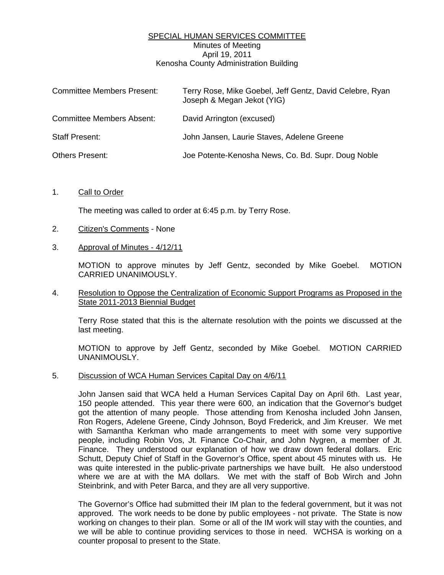# SPECIAL HUMAN SERVICES COMMITTEE Minutes of Meeting April 19, 2011 Kenosha County Administration Building

| <b>Committee Members Present:</b> | Terry Rose, Mike Goebel, Jeff Gentz, David Celebre, Ryan<br>Joseph & Megan Jekot (YIG) |
|-----------------------------------|----------------------------------------------------------------------------------------|
| <b>Committee Members Absent:</b>  | David Arrington (excused)                                                              |
| Staff Present:                    | John Jansen, Laurie Staves, Adelene Greene                                             |
| <b>Others Present:</b>            | Joe Potente-Kenosha News, Co. Bd. Supr. Doug Noble                                     |

## 1. Call to Order

The meeting was called to order at 6:45 p.m. by Terry Rose.

### 2. Citizen's Comments - None

## 3. Approval of Minutes - 4/12/11

 MOTION to approve minutes by Jeff Gentz, seconded by Mike Goebel. MOTION CARRIED UNANIMOUSLY.

## 4. Resolution to Oppose the Centralization of Economic Support Programs as Proposed in the State 2011-2013 Biennial Budget

 Terry Rose stated that this is the alternate resolution with the points we discussed at the last meeting.

 MOTION to approve by Jeff Gentz, seconded by Mike Goebel. MOTION CARRIED UNANIMOUSLY.

#### 5. Discussion of WCA Human Services Capital Day on 4/6/11

 John Jansen said that WCA held a Human Services Capital Day on April 6th. Last year, 150 people attended. This year there were 600, an indication that the Governor's budget got the attention of many people. Those attending from Kenosha included John Jansen, Ron Rogers, Adelene Greene, Cindy Johnson, Boyd Frederick, and Jim Kreuser. We met with Samantha Kerkman who made arrangements to meet with some very supportive people, including Robin Vos, Jt. Finance Co-Chair, and John Nygren, a member of Jt. Finance. They understood our explanation of how we draw down federal dollars. Eric Schutt, Deputy Chief of Staff in the Governor's Office, spent about 45 minutes with us. He was quite interested in the public-private partnerships we have built. He also understood where we are at with the MA dollars. We met with the staff of Bob Wirch and John Steinbrink, and with Peter Barca, and they are all very supportive.

 The Governor's Office had submitted their IM plan to the federal government, but it was not approved. The work needs to be done by public employees - not private. The State is now working on changes to their plan. Some or all of the IM work will stay with the counties, and we will be able to continue providing services to those in need. WCHSA is working on a counter proposal to present to the State.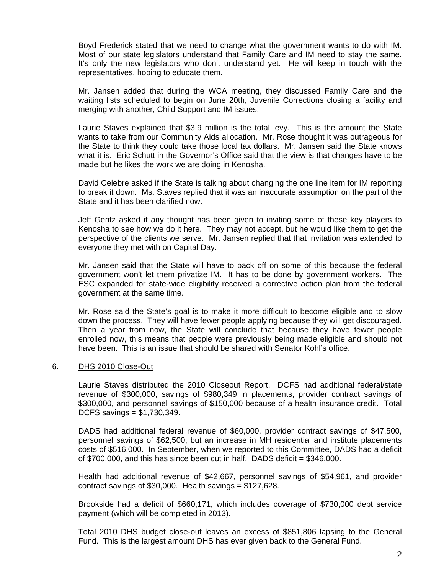Boyd Frederick stated that we need to change what the government wants to do with IM. Most of our state legislators understand that Family Care and IM need to stay the same. It's only the new legislators who don't understand yet. He will keep in touch with the representatives, hoping to educate them.

 Mr. Jansen added that during the WCA meeting, they discussed Family Care and the waiting lists scheduled to begin on June 20th, Juvenile Corrections closing a facility and merging with another, Child Support and IM issues.

 Laurie Staves explained that \$3.9 million is the total levy. This is the amount the State wants to take from our Community Aids allocation. Mr. Rose thought it was outrageous for the State to think they could take those local tax dollars. Mr. Jansen said the State knows what it is. Eric Schutt in the Governor's Office said that the view is that changes have to be made but he likes the work we are doing in Kenosha.

 David Celebre asked if the State is talking about changing the one line item for IM reporting to break it down. Ms. Staves replied that it was an inaccurate assumption on the part of the State and it has been clarified now.

 Jeff Gentz asked if any thought has been given to inviting some of these key players to Kenosha to see how we do it here. They may not accept, but he would like them to get the perspective of the clients we serve. Mr. Jansen replied that that invitation was extended to everyone they met with on Capital Day.

 Mr. Jansen said that the State will have to back off on some of this because the federal government won't let them privatize IM. It has to be done by government workers. The ESC expanded for state-wide eligibility received a corrective action plan from the federal government at the same time.

 Mr. Rose said the State's goal is to make it more difficult to become eligible and to slow down the process. They will have fewer people applying because they will get discouraged. Then a year from now, the State will conclude that because they have fewer people enrolled now, this means that people were previously being made eligible and should not have been. This is an issue that should be shared with Senator Kohl's office.

## 6. DHS 2010 Close-Out

 Laurie Staves distributed the 2010 Closeout Report. DCFS had additional federal/state revenue of \$300,000, savings of \$980,349 in placements, provider contract savings of \$300,000, and personnel savings of \$150,000 because of a health insurance credit. Total DCFS savings = \$1,730,349.

 DADS had additional federal revenue of \$60,000, provider contract savings of \$47,500, personnel savings of \$62,500, but an increase in MH residential and institute placements costs of \$516,000. In September, when we reported to this Committee, DADS had a deficit of  $$700,000$ , and this has since been cut in half. DADS deficit =  $$346,000$ .

 Health had additional revenue of \$42,667, personnel savings of \$54,961, and provider contract savings of  $$30,000$ . Health savings =  $$127,628$ .

 Brookside had a deficit of \$660,171, which includes coverage of \$730,000 debt service payment (which will be completed in 2013).

 Total 2010 DHS budget close-out leaves an excess of \$851,806 lapsing to the General Fund. This is the largest amount DHS has ever given back to the General Fund.